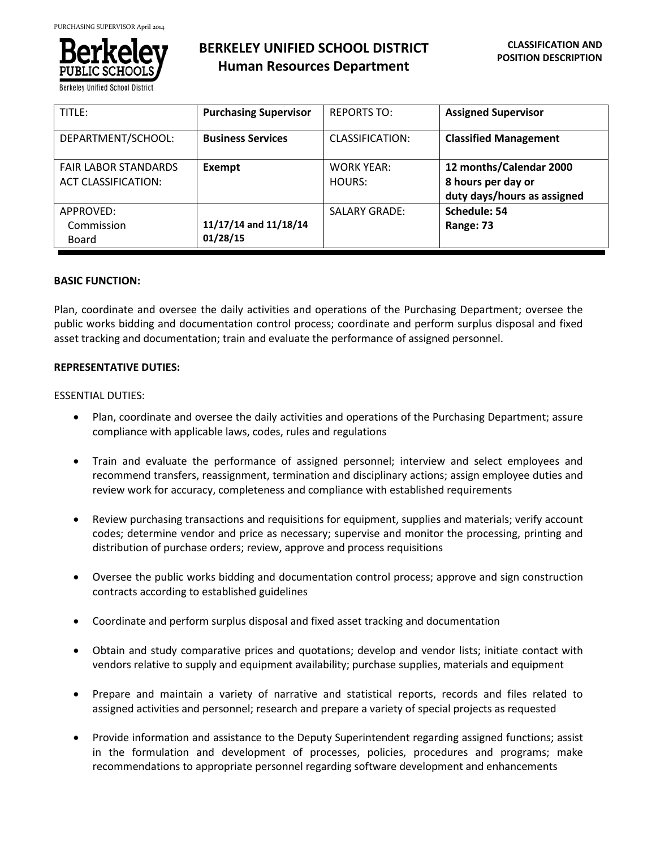

**Berkeley Unified School Dis** 

# **BERKELEY UNIFIED SCHOOL DISTRICT Human Resources Department**

| TITLE:                                                    | <b>Purchasing Supervisor</b>      | <b>REPORTS TO:</b>   | <b>Assigned Supervisor</b>                                                   |
|-----------------------------------------------------------|-----------------------------------|----------------------|------------------------------------------------------------------------------|
| DEPARTMENT/SCHOOL:                                        | <b>Business Services</b>          | CLASSIFICATION:      | <b>Classified Management</b>                                                 |
| <b>FAIR LABOR STANDARDS</b><br><b>ACT CLASSIFICATION:</b> | Exempt                            | WORK YEAR:<br>HOURS: | 12 months/Calendar 2000<br>8 hours per day or<br>duty days/hours as assigned |
| APPROVED:<br>Commission<br>Board                          | 11/17/14 and 11/18/14<br>01/28/15 | <b>SALARY GRADE:</b> | Schedule: 54<br>Range: 73                                                    |

#### **BASIC FUNCTION:**

Plan, coordinate and oversee the daily activities and operations of the Purchasing Department; oversee the public works bidding and documentation control process; coordinate and perform surplus disposal and fixed asset tracking and documentation; train and evaluate the performance of assigned personnel.

## **REPRESENTATIVE DUTIES:**

## ESSENTIAL DUTIES:

- Plan, coordinate and oversee the daily activities and operations of the Purchasing Department; assure compliance with applicable laws, codes, rules and regulations
- Train and evaluate the performance of assigned personnel; interview and select employees and recommend transfers, reassignment, termination and disciplinary actions; assign employee duties and review work for accuracy, completeness and compliance with established requirements
- Review purchasing transactions and requisitions for equipment, supplies and materials; verify account codes; determine vendor and price as necessary; supervise and monitor the processing, printing and distribution of purchase orders; review, approve and process requisitions
- Oversee the public works bidding and documentation control process; approve and sign construction contracts according to established guidelines
- Coordinate and perform surplus disposal and fixed asset tracking and documentation
- Obtain and study comparative prices and quotations; develop and vendor lists; initiate contact with vendors relative to supply and equipment availability; purchase supplies, materials and equipment
- Prepare and maintain a variety of narrative and statistical reports, records and files related to assigned activities and personnel; research and prepare a variety of special projects as requested
- Provide information and assistance to the Deputy Superintendent regarding assigned functions; assist in the formulation and development of processes, policies, procedures and programs; make recommendations to appropriate personnel regarding software development and enhancements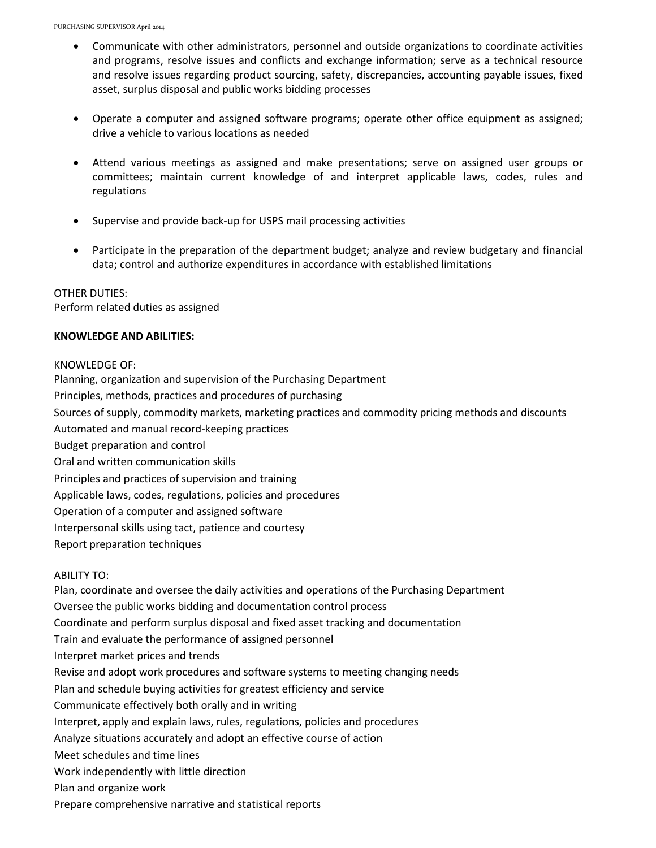- Communicate with other administrators, personnel and outside organizations to coordinate activities and programs, resolve issues and conflicts and exchange information; serve as a technical resource and resolve issues regarding product sourcing, safety, discrepancies, accounting payable issues, fixed asset, surplus disposal and public works bidding processes
- Operate a computer and assigned software programs; operate other office equipment as assigned; drive a vehicle to various locations as needed
- Attend various meetings as assigned and make presentations; serve on assigned user groups or committees; maintain current knowledge of and interpret applicable laws, codes, rules and regulations
- Supervise and provide back-up for USPS mail processing activities
- Participate in the preparation of the department budget; analyze and review budgetary and financial data; control and authorize expenditures in accordance with established limitations

# OTHER DUTIES:

Perform related duties as assigned

## **KNOWLEDGE AND ABILITIES:**

## KNOWLEDGE OF:

Planning, organization and supervision of the Purchasing Department Principles, methods, practices and procedures of purchasing Sources of supply, commodity markets, marketing practices and commodity pricing methods and discounts Automated and manual record-keeping practices Budget preparation and control Oral and written communication skills Principles and practices of supervision and training Applicable laws, codes, regulations, policies and procedures Operation of a computer and assigned software Interpersonal skills using tact, patience and courtesy Report preparation techniques ABILITY TO: Plan, coordinate and oversee the daily activities and operations of the Purchasing Department Oversee the public works bidding and documentation control process

Coordinate and perform surplus disposal and fixed asset tracking and documentation

- Train and evaluate the performance of assigned personnel
- Interpret market prices and trends
- Revise and adopt work procedures and software systems to meeting changing needs
- Plan and schedule buying activities for greatest efficiency and service
- Communicate effectively both orally and in writing
- Interpret, apply and explain laws, rules, regulations, policies and procedures
- Analyze situations accurately and adopt an effective course of action
- Meet schedules and time lines
- Work independently with little direction
- Plan and organize work
- Prepare comprehensive narrative and statistical reports